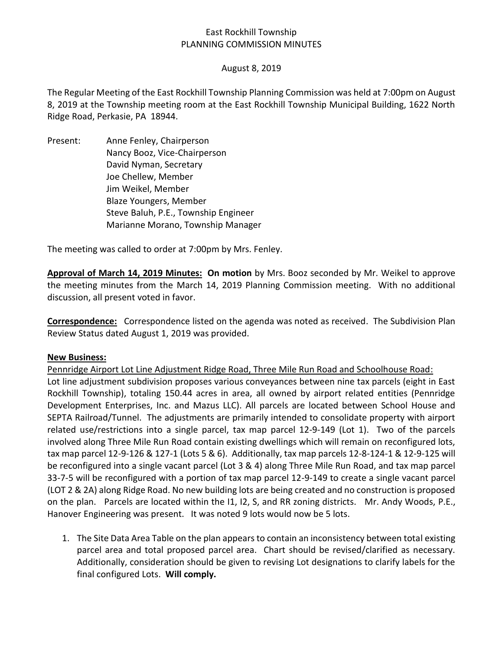# East Rockhill Township PLANNING COMMISSION MINUTES

### August 8, 2019

The Regular Meeting of the East Rockhill Township Planning Commission was held at 7:00pm on August 8, 2019 at the Township meeting room at the East Rockhill Township Municipal Building, 1622 North Ridge Road, Perkasie, PA 18944.

Present: Anne Fenley, Chairperson Nancy Booz, Vice-Chairperson David Nyman, Secretary Joe Chellew, Member Jim Weikel, Member Blaze Youngers, Member Steve Baluh, P.E., Township Engineer Marianne Morano, Township Manager

The meeting was called to order at 7:00pm by Mrs. Fenley.

**Approval of March 14, 2019 Minutes: On motion** by Mrs. Booz seconded by Mr. Weikel to approve the meeting minutes from the March 14, 2019 Planning Commission meeting. With no additional discussion, all present voted in favor.

**Correspondence:** Correspondence listed on the agenda was noted as received. The Subdivision Plan Review Status dated August 1, 2019 was provided.

#### **New Business:**

Pennridge Airport Lot Line Adjustment Ridge Road, Three Mile Run Road and Schoolhouse Road: Lot line adjustment subdivision proposes various conveyances between nine tax parcels (eight in East Rockhill Township), totaling 150.44 acres in area, all owned by airport related entities (Pennridge Development Enterprises, Inc. and Mazus LLC). All parcels are located between School House and SEPTA Railroad/Tunnel. The adjustments are primarily intended to consolidate property with airport related use/restrictions into a single parcel, tax map parcel 12-9-149 (Lot 1). Two of the parcels involved along Three Mile Run Road contain existing dwellings which will remain on reconfigured lots, tax map parcel 12-9-126 & 127-1 (Lots 5 & 6). Additionally, tax map parcels 12-8-124-1 & 12-9-125 will be reconfigured into a single vacant parcel (Lot 3 & 4) along Three Mile Run Road, and tax map parcel 33-7-5 will be reconfigured with a portion of tax map parcel 12-9-149 to create a single vacant parcel (LOT 2 & 2A) along Ridge Road. No new building lots are being created and no construction is proposed on the plan. Parcels are located within the I1, I2, S, and RR zoning districts. Mr. Andy Woods, P.E., Hanover Engineering was present. It was noted 9 lots would now be 5 lots.

1. The Site Data Area Table on the plan appears to contain an inconsistency between total existing parcel area and total proposed parcel area. Chart should be revised/clarified as necessary. Additionally, consideration should be given to revising Lot designations to clarify labels for the final configured Lots. **Will comply.**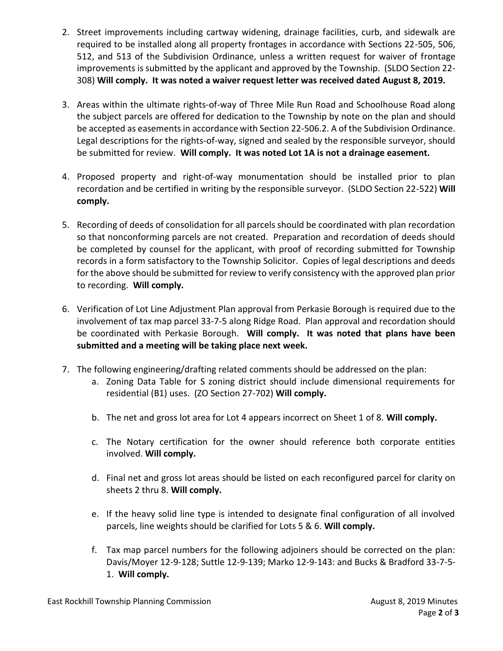- 2. Street improvements including cartway widening, drainage facilities, curb, and sidewalk are required to be installed along all property frontages in accordance with Sections 22-505, 506, 512, and 513 of the Subdivision Ordinance, unless a written request for waiver of frontage improvements is submitted by the applicant and approved by the Township. (SLDO Section 22- 308) **Will comply. It was noted a waiver request letter was received dated August 8, 2019.**
- 3. Areas within the ultimate rights-of-way of Three Mile Run Road and Schoolhouse Road along the subject parcels are offered for dedication to the Township by note on the plan and should be accepted as easements in accordance with Section 22-506.2. A of the Subdivision Ordinance. Legal descriptions for the rights-of-way, signed and sealed by the responsible surveyor, should be submitted for review. **Will comply. It was noted Lot 1A is not a drainage easement.**
- 4. Proposed property and right-of-way monumentation should be installed prior to plan recordation and be certified in writing by the responsible surveyor. (SLDO Section 22-522) **Will comply.**
- 5. Recording of deeds of consolidation for all parcels should be coordinated with plan recordation so that nonconforming parcels are not created. Preparation and recordation of deeds should be completed by counsel for the applicant, with proof of recording submitted for Township records in a form satisfactory to the Township Solicitor. Copies of legal descriptions and deeds for the above should be submitted for review to verify consistency with the approved plan prior to recording. **Will comply.**
- 6. Verification of Lot Line Adjustment Plan approval from Perkasie Borough is required due to the involvement of tax map parcel 33-7-5 along Ridge Road. Plan approval and recordation should be coordinated with Perkasie Borough. **Will comply. It was noted that plans have been submitted and a meeting will be taking place next week.**
- 7. The following engineering/drafting related comments should be addressed on the plan:
	- a. Zoning Data Table for S zoning district should include dimensional requirements for residential (B1) uses. (ZO Section 27-702) **Will comply.**
	- b. The net and gross lot area for Lot 4 appears incorrect on Sheet 1 of 8. **Will comply.**
	- c. The Notary certification for the owner should reference both corporate entities involved. **Will comply.**
	- d. Final net and gross lot areas should be listed on each reconfigured parcel for clarity on sheets 2 thru 8. **Will comply.**
	- e. If the heavy solid line type is intended to designate final configuration of all involved parcels, line weights should be clarified for Lots 5 & 6. **Will comply.**
	- f. Tax map parcel numbers for the following adjoiners should be corrected on the plan: Davis/Moyer 12-9-128; Suttle 12-9-139; Marko 12-9-143: and Bucks & Bradford 33-7-5- 1. **Will comply.**